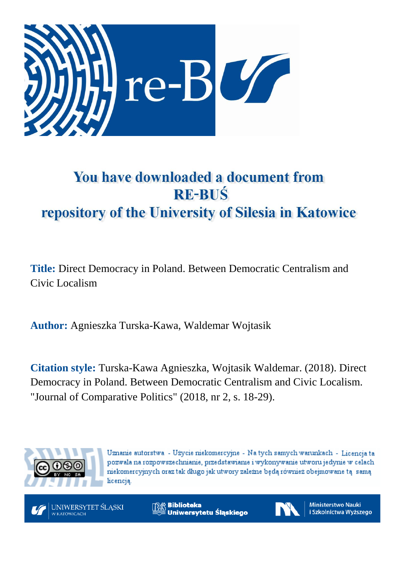

# You have downloaded a document from **RE-BUŚ** repository of the University of Silesia in Katowice

**Title:** Direct Democracy in Poland. Between Democratic Centralism and Civic Localism

**Author:** Agnieszka Turska-Kawa, Waldemar Wojtasik

**Citation style:** Turska-Kawa Agnieszka, Wojtasik Waldemar. (2018). Direct Democracy in Poland. Between Democratic Centralism and Civic Localism. "Journal of Comparative Politics" (2018, nr 2, s. 18-29).



Uznanie autorstwa - Użycie niekomercyjne - Na tych samych warunkach - Licencja ta pozwala na rozpowszechnianie, przedstawianie i wykonywanie utworu jedynie w celach niekomercyjnych oraz tak długo jak utwory zależne będą również obejmowane tą samą licencia.



**Biblioteka** Uniwersytetu Śląskiego



**Ministerstwo Nauki** i Szkolnictwa Wyższego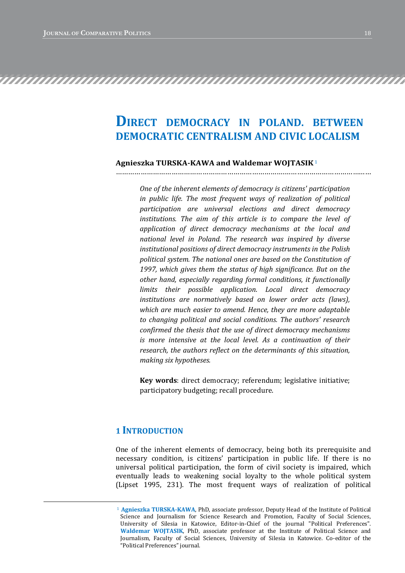# **DIRECT DEMOCRACY IN POLAND. BETWEEN DEMOCRATIC CENTRALISM AND CIVIC LOCALISM**

……………………………………………………………………….……………………………………

#### **Agnieszka TURSKA-KAWA and Waldemar WOJTASIK**<sup>1</sup>

*One of the inherent elements of democracy is citizens' participation in public life. The most frequent ways of realization of political participation are universal elections and direct democracy institutions. The aim of this article is to compare the level of application of direct democracy mechanisms at the local and national level in Poland. The research was inspired by diverse institutional positions of direct democracy instruments in the Polish political system. The national ones are based on the Constitution of 1997, which gives them the status of high significance. But on the other hand, especially regarding formal conditions, it functionally limits their possible application. Local direct democracy institutions are normatively based on lower order acts (laws), which are much easier to amend. Hence, they are more adaptable to changing political and social conditions. The authors' research confirmed the thesis that the use of direct democracy mechanisms is more intensive at the local level. As a continuation of their research, the authors reflect on the determinants of this situation, making six hypotheses.*

**Key words**: direct democracy; referendum; legislative initiative; participatory budgeting; recall procedure.

# **1 INTRODUCTION**

 $\overline{a}$ 

One of the inherent elements of democracy, being both its prerequisite and necessary condition, is citizens' participation in public life. If there is no universal political participation, the form of civil society is impaired, which eventually leads to weakening social loyalty to the whole political system (Lipset 1995, 231). The most frequent ways of realization of political

<sup>1</sup> **Agnieszka TURSKA-KAWA**, PhD, associate professor, Deputy Head of the Institute of Political Science and Journalism for Science Research and Promotion, Faculty of Social Sciences, University of Silesia in Katowice, Editor-in-Chief of the journal "Political Preferences". **Waldemar WOJTASIK**, PhD, associate professor at the Institute of Political Science and Journalism, Faculty of Social Sciences, University of Silesia in Katowice. Co-editor of the "Political Preferences" journal.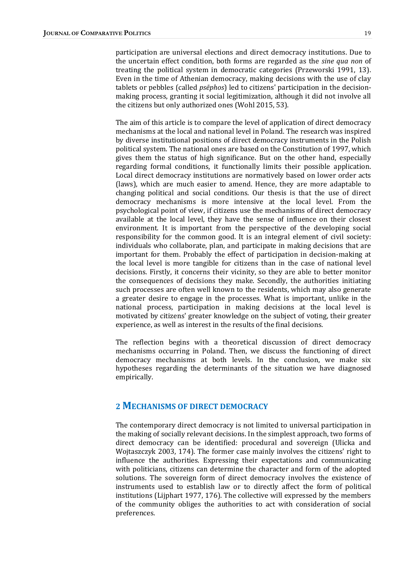participation are universal elections and direct democracy institutions. Due to the uncertain effect condition, both forms are regarded as the *sine qua non* of treating the political system in democratic categories (Przeworski 1991, 13). Even in the time of Athenian democracy, making decisions with the use of clay tablets or pebbles (called *psēphos*) led to citizens' participation in the decisionmaking process, granting it social legitimization, although it did not involve all the citizens but only authorized ones (Wohl 2015, 53).

The aim of this article is to compare the level of application of direct democracy mechanisms at the local and national level in Poland. The research was inspired by diverse institutional positions of direct democracy instruments in the Polish political system. The national ones are based on the Constitution of 1997, which gives them the status of high significance. But on the other hand, especially regarding formal conditions, it functionally limits their possible application. Local direct democracy institutions are normatively based on lower order acts (laws), which are much easier to amend. Hence, they are more adaptable to changing political and social conditions. Our thesis is that the use of direct democracy mechanisms is more intensive at the local level. From the psychological point of view, if citizens use the mechanisms of direct democracy available at the local level, they have the sense of influence on their closest environment. It is important from the perspective of the developing social responsibility for the common good. It is an integral element of civil society: individuals who collaborate, plan, and participate in making decisions that are important for them. Probably the effect of participation in decision-making at the local level is more tangible for citizens than in the case of national level decisions. Firstly, it concerns their vicinity, so they are able to better monitor the consequences of decisions they make. Secondly, the authorities initiating such processes are often well known to the residents, which may also generate a greater desire to engage in the processes. What is important, unlike in the national process, participation in making decisions at the local level is motivated by citizens' greater knowledge on the subject of voting, their greater experience, as well as interest in the results of the final decisions.

The reflection begins with a theoretical discussion of direct democracy mechanisms occurring in Poland. Then, we discuss the functioning of direct democracy mechanisms at both levels. In the conclusion, we make six hypotheses regarding the determinants of the situation we have diagnosed empirically.

### **2 MECHANISMS OF DIRECT DEMOCRACY**

The contemporary direct democracy is not limited to universal participation in the making of socially relevant decisions. In the simplest approach, two forms of direct democracy can be identified: procedural and sovereign (Ulicka and Wojtaszczyk 2003, 174). The former case mainly involves the citizens' right to influence the authorities. Expressing their expectations and communicating with politicians, citizens can determine the character and form of the adopted solutions. The sovereign form of direct democracy involves the existence of instruments used to establish law or to directly affect the form of political institutions (Lijphart 1977, 176). The collective will expressed by the members of the community obliges the authorities to act with consideration of social preferences.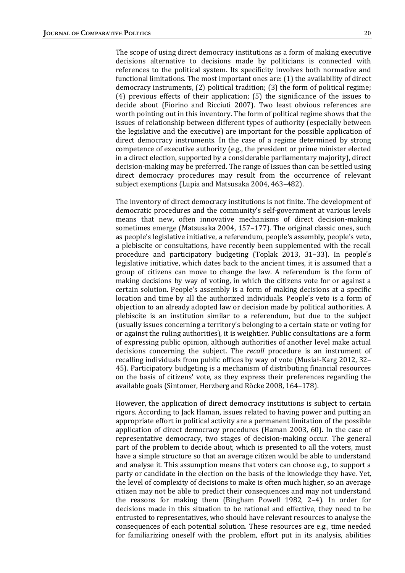The scope of using direct democracy institutions as a form of making executive decisions alternative to decisions made by politicians is connected with references to the political system. Its specificity involves both normative and functional limitations. The most important ones are: (1) the availability of direct democracy instruments, (2) political tradition; (3) the form of political regime; (4) previous effects of their application; (5) the significance of the issues to decide about (Fiorino and Ricciuti 2007). Two least obvious references are worth pointing out in this inventory. The form of political regime shows that the issues of relationship between different types of authority (especially between the legislative and the executive) are important for the possible application of direct democracy instruments. In the case of a regime determined by strong competence of executive authority (e.g., the president or prime minister elected in a direct election, supported by a considerable parliamentary majority), direct decision-making may be preferred. The range of issues than can be settled using direct democracy procedures may result from the occurrence of relevant subject exemptions (Lupia and Matsusaka 2004, 463–482).

The inventory of direct democracy institutions is not finite. The development of democratic procedures and the community's self-government at various levels means that new, often innovative mechanisms of direct decision-making sometimes emerge (Matsusaka 2004, 157–177). The original classic ones, such as people's legislative initiative, a referendum, people's assembly, people's veto, a plebiscite or consultations, have recently been supplemented with the recall procedure and participatory budgeting (Toplak 2013, 31–33). In people's legislative initiative, which dates back to the ancient times, it is assumed that a group of citizens can move to change the law. A referendum is the form of making decisions by way of voting, in which the citizens vote for or against a certain solution. People's assembly is a form of making decisions at a specific location and time by all the authorized individuals. People's veto is a form of objection to an already adopted law or decision made by political authorities. A plebiscite is an institution similar to a referendum, but due to the subject (usually issues concerning a territory's belonging to a certain state or voting for or against the ruling authorities), it is weightier. Public consultations are a form of expressing public opinion, although authorities of another level make actual decisions concerning the subject. The *recall* procedure is an instrument of recalling individuals from public offices by way of vote (Musiał-Karg 2012, 32– 45). Participatory budgeting is a mechanism of distributing financial resources on the basis of citizens' vote, as they express their preferences regarding the available goals (Sintomer, Herzberg and Röcke 2008, 164–178).

However, the application of direct democracy institutions is subject to certain rigors. According to Jack Haman, issues related to having power and putting an appropriate effort in political activity are a permanent limitation of the possible application of direct democracy procedures (Haman 2003, 60). In the case of representative democracy, two stages of decision-making occur. The general part of the problem to decide about, which is presented to all the voters, must have a simple structure so that an average citizen would be able to understand and analyse it. This assumption means that voters can choose e.g., to support a party or candidate in the election on the basis of the knowledge they have. Yet, the level of complexity of decisions to make is often much higher, so an average citizen may not be able to predict their consequences and may not understand the reasons for making them (Bingham Powell 1982, 2–4). In order for decisions made in this situation to be rational and effective, they need to be entrusted to representatives, who should have relevant resources to analyse the consequences of each potential solution. These resources are e.g., time needed for familiarizing oneself with the problem, effort put in its analysis, abilities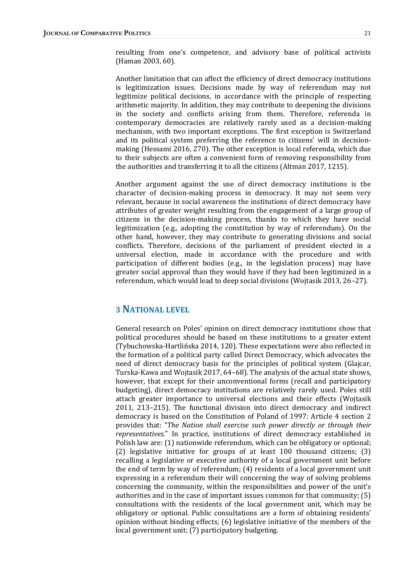resulting from one's competence, and advisory base of political activists (Haman 2003, 60).

Another limitation that can affect the efficiency of direct democracy institutions is legitimization issues. Decisions made by way of referendum may not legitimize political decisions, in accordance with the principle of respecting arithmetic majority. In addition, they may contribute to deepening the divisions in the society and conflicts arising from them. Therefore, referenda in contemporary democracies are relatively rarely used as a decision-making mechanism, with two important exceptions. The first exception is Switzerland and its political system preferring the reference to citizens' will in decisionmaking (Hessami 2016, 270). The other exception is local referenda, which due to their subjects are often a convenient form of removing responsibility from the authorities and transferring it to all the citizens (Altman 2017, 1215).

Another argument against the use of direct democracy institutions is the character of decision-making process in democracy. It may not seem very relevant, because in social awareness the institutions of direct democracy have attributes of greater weight resulting from the engagement of a large group of citizens in the decision-making process, thanks to which they have social legitimization (e.g., adopting the constitution by way of referendum). On the other hand, however, they may contribute to generating divisions and social conflicts. Therefore, decisions of the parliament of president elected in a universal election, made in accordance with the procedure and with participation of different bodies (e.g., in the legislation process) may have greater social approval than they would have if they had been legitimized in a referendum, which would lead to deep social divisions (Wojtasik 2013, 26–27).

# **3 NATIONAL LEVEL**

General research on Poles' opinion on direct democracy institutions show that political procedures should be based on these institutions to a greater extent (Tybuchowska-Hartlińska 2014, 120). These expectations were also reflected in the formation of a political party called Direct Democracy, which advocates the need of direct democracy basis for the principles of political system (Glajcar, Turska-Kawa and Wojtasik 2017, 64–68). The analysis of the actual state shows, however, that except for their unconventional forms (recall and participatory budgeting), direct democracy institutions are relatively rarely used. Poles still attach greater importance to universal elections and their effects (Wojtasik 2011, 213–215). The functional division into direct democracy and indirect democracy is based on the Constitution of Poland of 1997: Article 4 section 2 provides that: "*The Nation shall exercise such power directly or through their representatives.*" In practice, institutions of direct democracy established in Polish law are: (1) nationwide referendum, which can be obligatory or optional; (2) legislative initiative for groups of at least 100 thousand citizens; (3) recalling a legislative or executive authority of a local government unit before the end of term by way of referendum; (4) residents of a local government unit expressing in a referendum their will concerning the way of solving problems concerning the community, within the responsibilities and power of the unit's authorities and in the case of important issues common for that community; (5) consultations with the residents of the local government unit, which may be obligatory or optional. Public consultations are a form of obtaining residents' opinion without binding effects; (6) legislative initiative of the members of the local government unit; (7) participatory budgeting.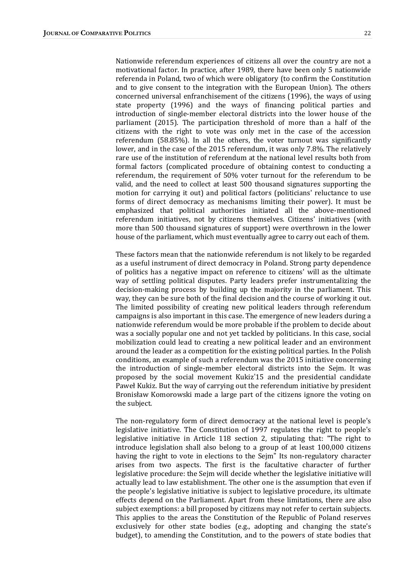Nationwide referendum experiences of citizens all over the country are not a motivational factor. In practice, after 1989, there have been only 5 nationwide referenda in Poland, two of which were obligatory (to confirm the Constitution and to give consent to the integration with the European Union). The others concerned universal enfranchisement of the citizens (1996), the ways of using state property (1996) and the ways of financing political parties and introduction of single-member electoral districts into the lower house of the parliament (2015). The participation threshold of more than a half of the citizens with the right to vote was only met in the case of the accession referendum (58.85%). In all the others, the voter turnout was significantly lower, and in the case of the 2015 referendum, it was only 7.8%. The relatively rare use of the institution of referendum at the national level results both from formal factors (complicated procedure of obtaining contest to conducting a referendum, the requirement of 50% voter turnout for the referendum to be valid, and the need to collect at least 500 thousand signatures supporting the motion for carrying it out) and political factors (politicians' reluctance to use forms of direct democracy as mechanisms limiting their power). It must be emphasized that political authorities initiated all the above-mentioned referendum initiatives, not by citizens themselves. Citizens' initiatives (with more than 500 thousand signatures of support) were overthrown in the lower house of the parliament, which must eventually agree to carry out each of them.

These factors mean that the nationwide referendum is not likely to be regarded as a useful instrument of direct democracy in Poland. Strong party dependence of politics has a negative impact on reference to citizens' will as the ultimate way of settling political disputes. Party leaders prefer instrumentalizing the decision-making process by building up the majority in the parliament. This way, they can be sure both of the final decision and the course of working it out. The limited possibility of creating new political leaders through referendum campaigns is also important in this case. The emergence of new leaders during a nationwide referendum would be more probable if the problem to decide about was a socially popular one and not yet tackled by politicians. In this case, social mobilization could lead to creating a new political leader and an environment around the leader as a competition for the existing political parties. In the Polish conditions, an example of such a referendum was the 2015 initiative concerning the introduction of single-member electoral districts into the Sejm. It was proposed by the social movement Kukiz'15 and the presidential candidate Paweł Kukiz. But the way of carrying out the referendum initiative by president Bronisław Komorowski made a large part of the citizens ignore the voting on the subject.

The non-regulatory form of direct democracy at the national level is people's legislative initiative. The Constitution of 1997 regulates the right to people's legislative initiative in Article 118 section 2, stipulating that: "The right to introduce legislation shall also belong to a group of at least 100,000 citizens having the right to vote in elections to the Sejm" Its non-regulatory character arises from two aspects. The first is the facultative character of further legislative procedure: the Sejm will decide whether the legislative initiative will actually lead to law establishment. The other one is the assumption that even if the people's legislative initiative is subject to legislative procedure, its ultimate effects depend on the Parliament. Apart from these limitations, there are also subject exemptions: a bill proposed by citizens may not refer to certain subjects. This applies to the areas the Constitution of the Republic of Poland reserves exclusively for other state bodies (e.g., adopting and changing the state's budget), to amending the Constitution, and to the powers of state bodies that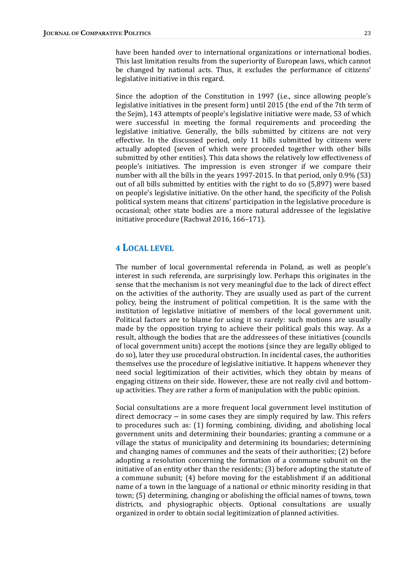have been handed over to international organizations or international bodies. This last limitation results from the superiority of European laws, which cannot be changed by national acts. Thus, it excludes the performance of citizens' legislative initiative in this regard.

Since the adoption of the Constitution in 1997 (i.e., since allowing people's legislative initiatives in the present form) until 2015 (the end of the 7th term of the Sejm), 143 attempts of people's legislative initiative were made, 53 of which were successful in meeting the formal requirements and proceeding the legislative initiative. Generally, the bills submitted by citizens are not very effective. In the discussed period, only 11 bills submitted by citizens were actually adopted (seven of which were proceeded together with other bills submitted by other entities). This data shows the relatively low effectiveness of people's initiatives. The impression is even stronger if we compare their number with all the bills in the years 1997-2015. In that period, only 0.9% (53) out of all bills submitted by entities with the right to do so (5,897) were based on people's legislative initiative. On the other hand, the specificity of the Polish political system means that citizens' participation in the legislative procedure is occasional; other state bodies are a more natural addressee of the legislative initiative procedure (Rachwał 2016, 166–171).

#### **4 LOCAL LEVEL**

The number of local governmental referenda in Poland, as well as people's interest in such referenda, are surprisingly low. Perhaps this originates in the sense that the mechanism is not very meaningful due to the lack of direct effect on the activities of the authority. They are usually used as part of the current policy, being the instrument of political competition. It is the same with the institution of legislative initiative of members of the local government unit. Political factors are to blame for using it so rarely: such motions are usually made by the opposition trying to achieve their political goals this way. As a result, although the bodies that are the addressees of these initiatives (councils of local government units) accept the motions (since they are legally obliged to do so), later they use procedural obstruction. In incidental cases, the authorities themselves use the procedure of legislative initiative. It happens whenever they need social legitimization of their activities, which they obtain by means of engaging citizens on their side. However, these are not really civil and bottomup activities. They are rather a form of manipulation with the public opinion.

Social consultations are a more frequent local government level institution of direct democracy – in some cases they are simply required by law. This refers to procedures such as: (1) forming, combining, dividing, and abolishing local government units and determining their boundaries; granting a commune or a village the status of municipality and determining its boundaries; determining and changing names of communes and the seats of their authorities; (2) before adopting a resolution concerning the formation of a commune subunit on the initiative of an entity other than the residents; (3) before adopting the statute of a commune subunit; (4) before moving for the establishment if an additional name of a town in the language of a national or ethnic minority residing in that town; (5) determining, changing or abolishing the official names of towns, town districts, and physiographic objects. Optional consultations are usually organized in order to obtain social legitimization of planned activities.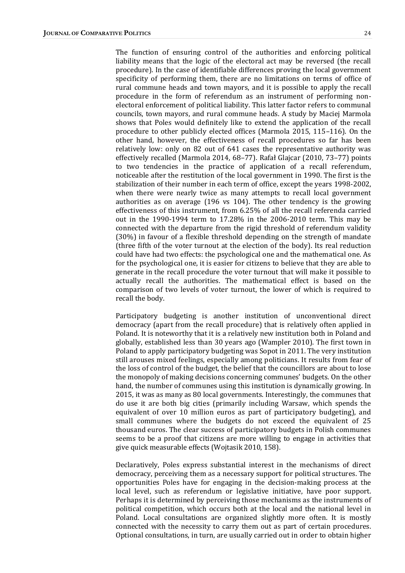The function of ensuring control of the authorities and enforcing political liability means that the logic of the electoral act may be reversed (the recall procedure). In the case of identifiable differences proving the local government specificity of performing them, there are no limitations on terms of office of rural commune heads and town mayors, and it is possible to apply the recall procedure in the form of referendum as an instrument of performing nonelectoral enforcement of political liability. This latter factor refers to communal councils, town mayors, and rural commune heads. A study by Maciej Marmola shows that Poles would definitely like to extend the application of the recall procedure to other publicly elected offices (Marmola 2015, 115–116). On the other hand, however, the effectiveness of recall procedures so far has been relatively low: only on 82 out of 641 cases the representative authority was effectively recalled (Marmola 2014, 68–77). Rafał Glajcar (2010, 73–77) points to two tendencies in the practice of application of a recall referendum, noticeable after the restitution of the local government in 1990. The first is the stabilization of their number in each term of office, except the years 1998-2002, when there were nearly twice as many attempts to recall local government authorities as on average (196 vs 104). The other tendency is the growing effectiveness of this instrument, from 6.25% of all the recall referenda carried out in the 1990-1994 term to 17.28% in the 2006-2010 term. This may be connected with the departure from the rigid threshold of referendum validity (30%) in favour of a flexible threshold depending on the strength of mandate (three fifth of the voter turnout at the election of the body). Its real reduction could have had two effects: the psychological one and the mathematical one. As for the psychological one, it is easier for citizens to believe that they are able to generate in the recall procedure the voter turnout that will make it possible to actually recall the authorities. The mathematical effect is based on the comparison of two levels of voter turnout, the lower of which is required to recall the body.

Participatory budgeting is another institution of unconventional direct democracy (apart from the recall procedure) that is relatively often applied in Poland. It is noteworthy that it is a relatively new institution both in Poland and globally, established less than 30 years ago (Wampler 2010). The first town in Poland to apply participatory budgeting was Sopot in 2011. The very institution still arouses mixed feelings, especially among politicians. It results from fear of the loss of control of the budget, the belief that the councillors are about to lose the monopoly of making decisions concerning communes' budgets. On the other hand, the number of communes using this institution is dynamically growing. In 2015, it was as many as 80 local governments. Interestingly, the communes that do use it are both big cities (primarily including Warsaw, which spends the equivalent of over 10 million euros as part of participatory budgeting), and small communes where the budgets do not exceed the equivalent of 25 thousand euros. The clear success of participatory budgets in Polish communes seems to be a proof that citizens are more willing to engage in activities that give quick measurable effects (Wojtasik 2010, 158).

Declaratively, Poles express substantial interest in the mechanisms of direct democracy, perceiving them as a necessary support for political structures. The opportunities Poles have for engaging in the decision-making process at the local level, such as referendum or legislative initiative, have poor support. Perhaps it is determined by perceiving those mechanisms as the instruments of political competition, which occurs both at the local and the national level in Poland. Local consultations are organized slightly more often. It is mostly connected with the necessity to carry them out as part of certain procedures. Optional consultations, in turn, are usually carried out in order to obtain higher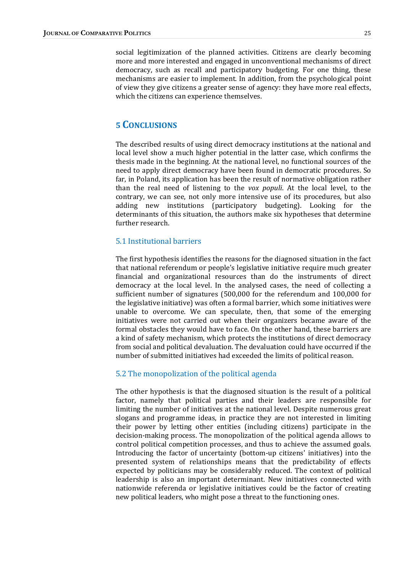social legitimization of the planned activities. Citizens are clearly becoming more and more interested and engaged in unconventional mechanisms of direct democracy, such as recall and participatory budgeting. For one thing, these mechanisms are easier to implement. In addition, from the psychological point of view they give citizens a greater sense of agency: they have more real effects, which the citizens can experience themselves.

# **5 CONCLUSIONS**

The described results of using direct democracy institutions at the national and local level show a much higher potential in the latter case, which confirms the thesis made in the beginning. At the national level, no functional sources of the need to apply direct democracy have been found in democratic procedures. So far, in Poland, its application has been the result of normative obligation rather than the real need of listening to the *vox populi*. At the local level, to the contrary, we can see, not only more intensive use of its procedures, but also adding new institutions (participatory budgeting). Looking for the determinants of this situation, the authors make six hypotheses that determine further research.

#### 5.1 Institutional barriers

The first hypothesis identifies the reasons for the diagnosed situation in the fact that national referendum or people's legislative initiative require much greater financial and organizational resources than do the instruments of direct democracy at the local level. In the analysed cases, the need of collecting a sufficient number of signatures (500,000 for the referendum and 100,000 for the legislative initiative) was often a formal barrier, which some initiatives were unable to overcome. We can speculate, then, that some of the emerging initiatives were not carried out when their organizers became aware of the formal obstacles they would have to face. On the other hand, these barriers are a kind of safety mechanism, which protects the institutions of direct democracy from social and political devaluation. The devaluation could have occurred if the number of submitted initiatives had exceeded the limits of political reason.

#### 5.2 The monopolization of the political agenda

The other hypothesis is that the diagnosed situation is the result of a political factor, namely that political parties and their leaders are responsible for limiting the number of initiatives at the national level. Despite numerous great slogans and programme ideas, in practice they are not interested in limiting their power by letting other entities (including citizens) participate in the decision-making process. The monopolization of the political agenda allows to control political competition processes, and thus to achieve the assumed goals. Introducing the factor of uncertainty (bottom-up citizens' initiatives) into the presented system of relationships means that the predictability of effects expected by politicians may be considerably reduced. The context of political leadership is also an important determinant. New initiatives connected with nationwide referenda or legislative initiatives could be the factor of creating new political leaders, who might pose a threat to the functioning ones.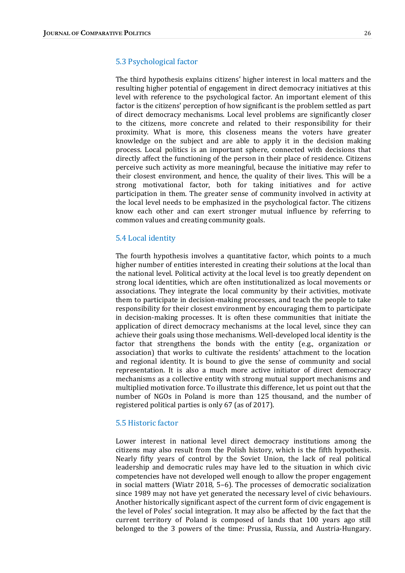#### 5.3 Psychological factor

The third hypothesis explains citizens' higher interest in local matters and the resulting higher potential of engagement in direct democracy initiatives at this level with reference to the psychological factor. An important element of this factor is the citizens' perception of how significant is the problem settled as part of direct democracy mechanisms. Local level problems are significantly closer to the citizens, more concrete and related to their responsibility for their proximity. What is more, this closeness means the voters have greater knowledge on the subject and are able to apply it in the decision making process. Local politics is an important sphere, connected with decisions that directly affect the functioning of the person in their place of residence. Citizens perceive such activity as more meaningful, because the initiative may refer to their closest environment, and hence, the quality of their lives. This will be a strong motivational factor, both for taking initiatives and for active participation in them. The greater sense of community involved in activity at the local level needs to be emphasized in the psychological factor. The citizens know each other and can exert stronger mutual influence by referring to common values and creating community goals.

#### 5.4 Local identity

The fourth hypothesis involves a quantitative factor, which points to a much higher number of entities interested in creating their solutions at the local than the national level. Political activity at the local level is too greatly dependent on strong local identities, which are often institutionalized as local movements or associations. They integrate the local community by their activities, motivate them to participate in decision-making processes, and teach the people to take responsibility for their closest environment by encouraging them to participate in decision-making processes. It is often these communities that initiate the application of direct democracy mechanisms at the local level, since they can achieve their goals using those mechanisms. Well-developed local identity is the factor that strengthens the bonds with the entity (e.g., organization or association) that works to cultivate the residents' attachment to the location and regional identity. It is bound to give the sense of community and social representation. It is also a much more active initiator of direct democracy mechanisms as a collective entity with strong mutual support mechanisms and multiplied motivation force. To illustrate this difference, let us point out that the number of NGOs in Poland is more than 125 thousand, and the number of registered political parties is only 67 (as of 2017).

#### 5.5 Historic factor

Lower interest in national level direct democracy institutions among the citizens may also result from the Polish history, which is the fifth hypothesis. Nearly fifty years of control by the Soviet Union, the lack of real political leadership and democratic rules may have led to the situation in which civic competencies have not developed well enough to allow the proper engagement in social matters (Wiatr 2018, 5–6). The processes of democratic socialization since 1989 may not have yet generated the necessary level of civic behaviours. Another historically significant aspect of the current form of civic engagement is the level of Poles' social integration. It may also be affected by the fact that the current territory of Poland is composed of lands that 100 years ago still belonged to the 3 powers of the time: Prussia, Russia, and Austria-Hungary.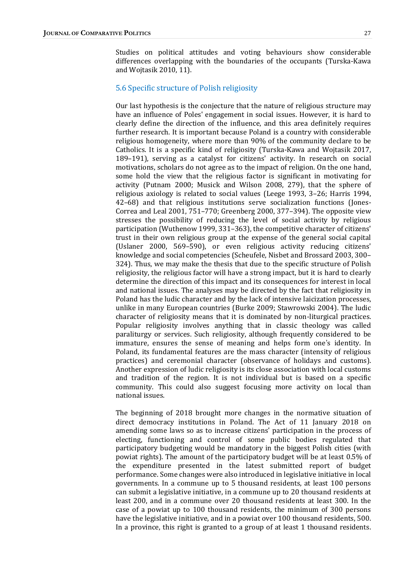Studies on political attitudes and voting behaviours show considerable differences overlapping with the boundaries of the occupants (Turska-Kawa and Wojtasik 2010, 11).

#### 5.6 Specific structure of Polish religiosity

Our last hypothesis is the conjecture that the nature of religious structure may have an influence of Poles' engagement in social issues. However, it is hard to clearly define the direction of the influence, and this area definitely requires further research. It is important because Poland is a country with considerable religious homogeneity, where more than 90% of the community declare to be Catholics. It is a specific kind of religiosity (Turska-Kawa and Wojtasik 2017, 189–191), serving as a catalyst for citizens' activity. In research on social motivations, scholars do not agree as to the impact of religion. On the one hand, some hold the view that the religious factor is significant in motivating for activity (Putnam 2000; Musick and Wilson 2008, 279), that the sphere of religious axiology is related to social values (Leege 1993, 3–26; Harris 1994, 42–68) and that religious institutions serve socialization functions (Jones-Correa and Leal 2001, 751–770; Greenberg 2000, 377–394). The opposite view stresses the possibility of reducing the level of social activity by religious participation (Wuthenow 1999, 331–363), the competitive character of citizens' trust in their own religious group at the expense of the general social capital (Uslaner 2000, 569–590), or even religious activity reducing citizens' knowledge and social competencies (Scheufele, Nisbet and Brossard 2003, 300– 324). Thus, we may make the thesis that due to the specific structure of Polish religiosity, the religious factor will have a strong impact, but it is hard to clearly determine the direction of this impact and its consequences for interest in local and national issues. The analyses may be directed by the fact that religiosity in Poland has the ludic character and by the lack of intensive laicization processes, unlike in many European countries (Burke 2009; Stawrowski 2004). The ludic character of religiosity means that it is dominated by non-liturgical practices. Popular religiosity involves anything that in classic theology was called paraliturgy or services. Such religiosity, although frequently considered to be immature, ensures the sense of meaning and helps form one's identity. In Poland, its fundamental features are the mass character (intensity of religious practices) and ceremonial character (observance of holidays and customs). Another expression of ludic religiosity is its close association with local customs and tradition of the region. It is not individual but is based on a specific community. This could also suggest focusing more activity on local than national issues.

The beginning of 2018 brought more changes in the normative situation of direct democracy institutions in Poland. The Act of 11 January 2018 on amending some laws so as to increase citizens' participation in the process of electing, functioning and control of some public bodies regulated that participatory budgeting would be mandatory in the biggest Polish cities (with powiat rights). The amount of the participatory budget will be at least 0.5% of the expenditure presented in the latest submitted report of budget performance. Some changes were also introduced in legislative initiative in local governments. In a commune up to 5 thousand residents, at least 100 persons can submit a legislative initiative, in a commune up to 20 thousand residents at least 200, and in a commune over 20 thousand residents at least 300. In the case of a powiat up to 100 thousand residents, the minimum of 300 persons have the legislative initiative, and in a powiat over 100 thousand residents, 500. In a province, this right is granted to a group of at least 1 thousand residents.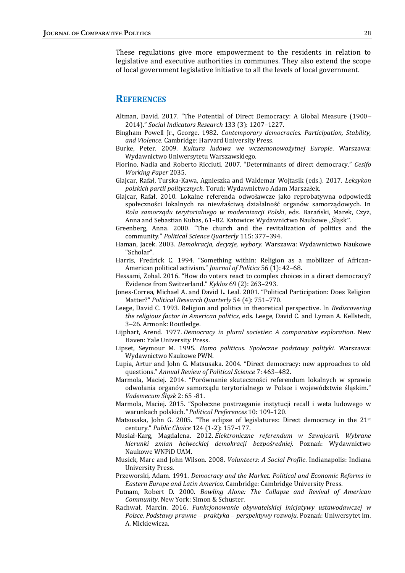These regulations give more empowerment to the residents in relation to legislative and executive authorities in communes. They also extend the scope of local government legislative initiative to all the levels of local government.

# **REFERENCES**

- Altman, David. 2017. "The Potential of Direct Democracy: A Global Measure (1900– 2014)." *Social Indicators Research* 133 (3): 1207–1227.
- Bingham Powell Jr., George. 1982. *Contemporary democracies. Participation, Stability, and Violence.* Cambridge: Harvard University Press.
- Burke, Peter. 2009. *Kultura ludowa we wczesnonowożytnej Europie*. Warszawa: Wydawnictwo Uniwersytetu Warszawskiego.
- Fiorino, Nadia and Roberto Ricciuti. 2007. "Determinants of direct democracy." *Cesifo Working Paper* 2035.
- Glajcar, Rafał, Turska-Kawa, Agnieszka and Waldemar Wojtasik (eds.). 2017. *Leksykon polskich partii politycznych.* Toruń: Wydawnictwo Adam Marszałek.
- Glajcar, Rafał. 2010. Lokalne referenda odwoławcze jako reprobatywna odpowiedź społeczności lokalnych na niewłaściwą działalność organów samorządowych. In *Rola samorządu terytorialnego w modernizacji Polski*, eds. Barański, Marek, Czyż, Anna and Sebastian Kubas, 61-82. Katowice: Wydawnictwo Naukowe "Śląsk".
- Greenberg, Anna. 2000. "The church and the revitalization of politics and the community." *Political Science Quarterly* 115: 377–394.
- Haman, Jacek. 2003. *Demokracja, decyzje, wybory.* Warszawa: Wydawnictwo Naukowe "Scholar".
- Harris, Fredrick C. 1994. "Something within: Religion as a mobilizer of African-American political activism." *Journal of Politics* 56 (1): 42–68.
- Hessami, Zohal. 2016. "How do voters react to complex choices in a direct democracy? Evidence from Switzerland." *Kyklos* 69 (2): 263–293.
- Jones-Correa, Michael A. and David L. Leal. 2001. "Political Participation: Does Religion Matter?" *Political Research Quarterly* 54 (4): 751–770.
- Leege, David C. 1993. Religion and politics in theoretical perspective. In *Rediscovering the religious factor in American politics*, eds. Leege, David C. and Lyman A. Kellstedt, 3–26. Armonk: Routledge.
- Lijphart, Arend. 1977. *Democracy in plural societies: A comparative exploration*. New Haven: Yale University Press.
- Lipset, Seymour M. 1995. *Homo politicus. Społeczne podstawy polityki.* Warszawa: Wydawnictwo Naukowe PWN.
- Lupia, Artur and John G. Matsusaka. 2004. "Direct democracy: new approaches to old questions." *Annual Review of Political Science* 7: 463–482.
- Marmola, Maciej. 2014. "Porównanie skuteczności referendum lokalnych w sprawie odwołania organów samorządu terytorialnego w Polsce i województwie śląskim." *Vademecum Śląsk* 2: 65 -81.
- Marmola, Maciej. 2015. "Społeczne postrzeganie instytucji recall i weta ludowego w warunkach polskich*." Political Preferences* 10: 109–120.
- Matsusaka, John G. 2005. "The eclipse of legislatures: Direct democracy in the 21st century." *Public Choice* 124 (1-2): 157–177.
- Musiał-Karg, Magdalena. 2012. *Elektroniczne referendum w Szwajcarii. Wybrane kierunki zmian helweckiej demokracji bezpośredniej.* Poznań: Wydawnictwo Naukowe WNPiD UAM.
- Musick, Marc and John Wilson. 2008. *Volunteers: A Social Profile*. Indianapolis: Indiana University Press.
- Przeworski, Adam. 1991. *Democracy and the Market. Political and Economic Reforms in Eastern Europe and Latin America.* Cambridge: Cambridge University Press.
- Putnam, Robert D. 2000. *Bowling Alone: The Collapse and Revival of American Community*. New York: Simon & Schuster.
- Rachwał, Marcin. 2016. *Funkcjonowanie obywatelskiej inicjatywy ustawodawczej w Polsce. Podstawy prawne* – *praktyka* – *perspektywy rozwoju*. Poznań: Uniwersytet im. A. Mickiewicza.